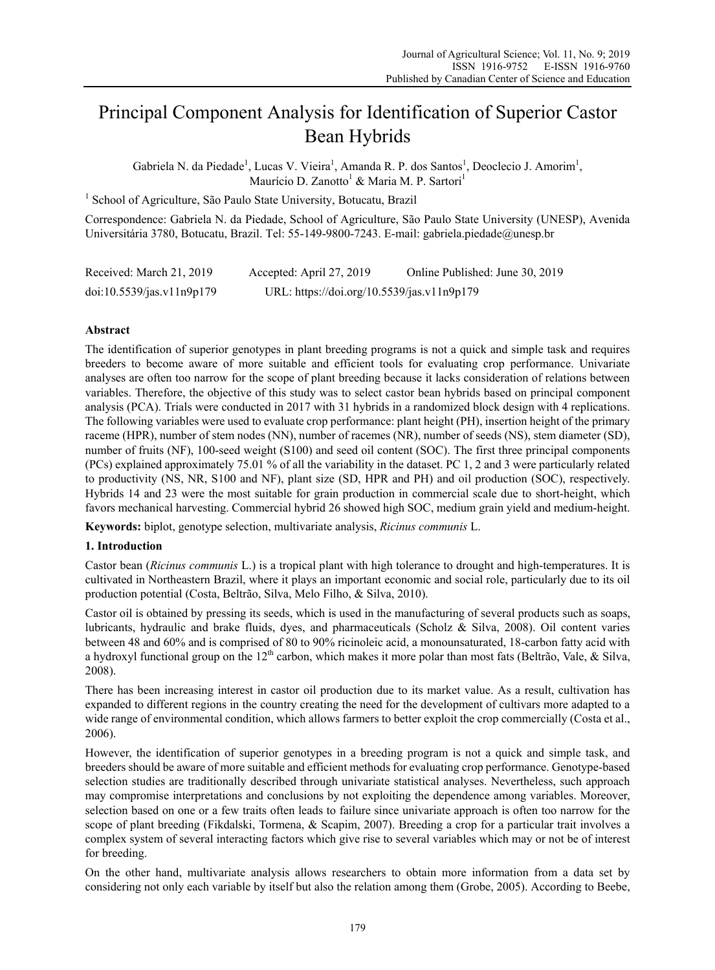# Principal Component Analysis for Identification of Superior Castor Bean Hybrids

Gabriela N. da Piedade<sup>1</sup>, Lucas V. Vieira<sup>1</sup>, Amanda R. P. dos Santos<sup>1</sup>, Deoclecio J. Amorim<sup>1</sup>, Maurício D. Zanotto<sup>1</sup> & Maria M. P. Sartori<sup>1</sup>

<sup>1</sup> School of Agriculture, São Paulo State University, Botucatu, Brazil

Correspondence: Gabriela N. da Piedade, School of Agriculture, São Paulo State University (UNESP), Avenida Universitária 3780, Botucatu, Brazil. Tel: 55-149-9800-7243. E-mail: gabriela.piedade@unesp.br

| Received: March 21, 2019  | Accepted: April 27, 2019                   | Online Published: June 30, 2019 |
|---------------------------|--------------------------------------------|---------------------------------|
| doi:10.5539/jas.v11n9p179 | URL: https://doi.org/10.5539/jas.v11n9p179 |                                 |

## **Abstract**

The identification of superior genotypes in plant breeding programs is not a quick and simple task and requires breeders to become aware of more suitable and efficient tools for evaluating crop performance. Univariate analyses are often too narrow for the scope of plant breeding because it lacks consideration of relations between variables. Therefore, the objective of this study was to select castor bean hybrids based on principal component analysis (PCA). Trials were conducted in 2017 with 31 hybrids in a randomized block design with 4 replications. The following variables were used to evaluate crop performance: plant height (PH), insertion height of the primary raceme (HPR), number of stem nodes (NN), number of racemes (NR), number of seeds (NS), stem diameter (SD), number of fruits (NF), 100-seed weight (S100) and seed oil content (SOC). The first three principal components (PCs) explained approximately 75.01 % of all the variability in the dataset. PC 1, 2 and 3 were particularly related to productivity (NS, NR, S100 and NF), plant size (SD, HPR and PH) and oil production (SOC), respectively. Hybrids 14 and 23 were the most suitable for grain production in commercial scale due to short-height, which favors mechanical harvesting. Commercial hybrid 26 showed high SOC, medium grain yield and medium-height.

**Keywords:** biplot, genotype selection, multivariate analysis, *Ricinus communis* L.

## **1. Introduction**

Castor bean (*Ricinus communis* L.) is a tropical plant with high tolerance to drought and high-temperatures. It is cultivated in Northeastern Brazil, where it plays an important economic and social role, particularly due to its oil production potential (Costa, Beltrão, Silva, Melo Filho, & Silva, 2010).

Castor oil is obtained by pressing its seeds, which is used in the manufacturing of several products such as soaps, lubricants, hydraulic and brake fluids, dyes, and pharmaceuticals (Scholz & Silva, 2008). Oil content varies between 48 and 60% and is comprised of 80 to 90% ricinoleic acid, a monounsaturated, 18-carbon fatty acid with a hydroxyl functional group on the  $12<sup>th</sup>$  carbon, which makes it more polar than most fats (Beltrão, Vale, & Silva, 2008).

There has been increasing interest in castor oil production due to its market value. As a result, cultivation has expanded to different regions in the country creating the need for the development of cultivars more adapted to a wide range of environmental condition, which allows farmers to better exploit the crop commercially (Costa et al., 2006).

However, the identification of superior genotypes in a breeding program is not a quick and simple task, and breeders should be aware of more suitable and efficient methods for evaluating crop performance. Genotype-based selection studies are traditionally described through univariate statistical analyses. Nevertheless, such approach may compromise interpretations and conclusions by not exploiting the dependence among variables. Moreover, selection based on one or a few traits often leads to failure since univariate approach is often too narrow for the scope of plant breeding (Fikdalski, Tormena, & Scapim, 2007). Breeding a crop for a particular trait involves a complex system of several interacting factors which give rise to several variables which may or not be of interest for breeding.

On the other hand, multivariate analysis allows researchers to obtain more information from a data set by considering not only each variable by itself but also the relation among them (Grobe, 2005). According to Beebe,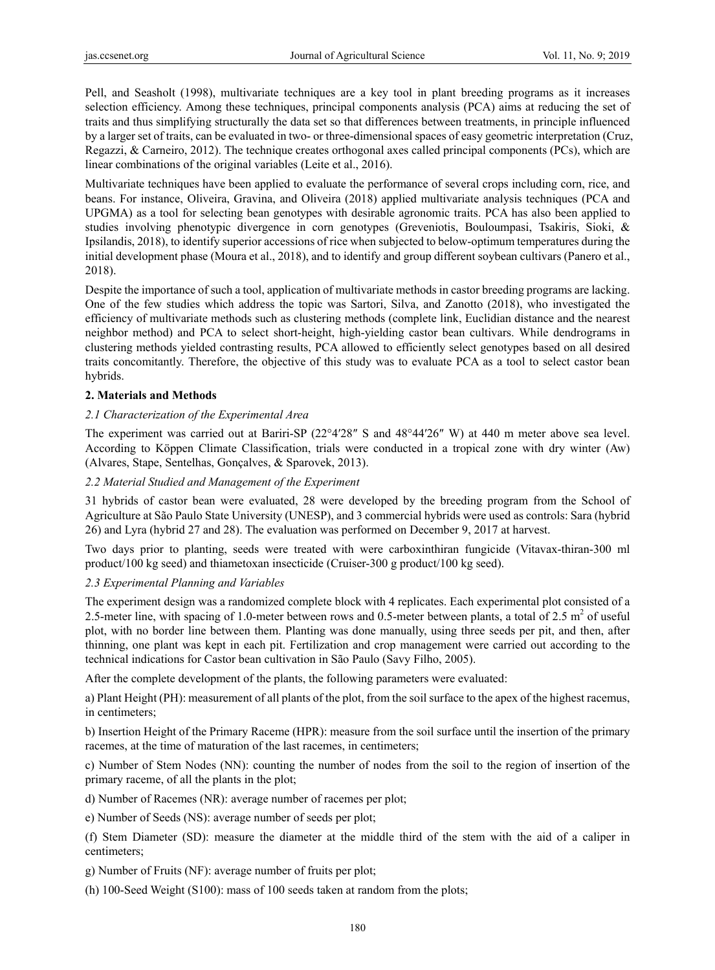Pell, and Seasholt (1998), multivariate techniques are a key tool in plant breeding programs as it increases selection efficiency. Among these techniques, principal components analysis (PCA) aims at reducing the set of traits and thus simplifying structurally the data set so that differences between treatments, in principle influenced by a larger set of traits, can be evaluated in two- or three-dimensional spaces of easy geometric interpretation (Cruz, Regazzi, & Carneiro, 2012). The technique creates orthogonal axes called principal components (PCs), which are linear combinations of the original variables (Leite et al., 2016).

Multivariate techniques have been applied to evaluate the performance of several crops including corn, rice, and beans. For instance, Oliveira, Gravina, and Oliveira (2018) applied multivariate analysis techniques (PCA and UPGMA) as a tool for selecting bean genotypes with desirable agronomic traits. PCA has also been applied to studies involving phenotypic divergence in corn genotypes (Greveniotis, Bouloumpasi, Tsakiris, Sioki, & Ipsilandis, 2018), to identify superior accessions of rice when subjected to below-optimum temperatures during the initial development phase (Moura et al., 2018), and to identify and group different soybean cultivars (Panero et al., 2018).

Despite the importance of such a tool, application of multivariate methods in castor breeding programs are lacking. One of the few studies which address the topic was Sartori, Silva, and Zanotto (2018), who investigated the efficiency of multivariate methods such as clustering methods (complete link, Euclidian distance and the nearest neighbor method) and PCA to select short-height, high-yielding castor bean cultivars. While dendrograms in clustering methods yielded contrasting results, PCA allowed to efficiently select genotypes based on all desired traits concomitantly. Therefore, the objective of this study was to evaluate PCA as a tool to select castor bean hybrids.

#### **2. Materials and Methods**

#### *2.1 Characterization of the Experimental Area*

The experiment was carried out at Bariri-SP (22°4′28″ S and 48°44′26″ W) at 440 m meter above sea level. According to Köppen Climate Classification, trials were conducted in a tropical zone with dry winter (Aw) (Alvares, Stape, Sentelhas, Gonçalves, & Sparovek, 2013).

#### *2.2 Material Studied and Management of the Experiment*

31 hybrids of castor bean were evaluated, 28 were developed by the breeding program from the School of Agriculture at São Paulo State University (UNESP), and 3 commercial hybrids were used as controls: Sara (hybrid 26) and Lyra (hybrid 27 and 28). The evaluation was performed on December 9, 2017 at harvest.

Two days prior to planting, seeds were treated with were carboxinthiran fungicide (Vitavax-thiran-300 ml product/100 kg seed) and thiametoxan insecticide (Cruiser-300 g product/100 kg seed).

#### *2.3 Experimental Planning and Variables*

The experiment design was a randomized complete block with 4 replicates. Each experimental plot consisted of a 2.5-meter line, with spacing of 1.0-meter between rows and 0.5-meter between plants, a total of 2.5  $m^2$  of useful plot, with no border line between them. Planting was done manually, using three seeds per pit, and then, after thinning, one plant was kept in each pit. Fertilization and crop management were carried out according to the technical indications for Castor bean cultivation in São Paulo (Savy Filho, 2005).

After the complete development of the plants, the following parameters were evaluated:

a) Plant Height (PH): measurement of all plants of the plot, from the soil surface to the apex of the highest racemus, in centimeters;

b) Insertion Height of the Primary Raceme (HPR): measure from the soil surface until the insertion of the primary racemes, at the time of maturation of the last racemes, in centimeters;

c) Number of Stem Nodes (NN): counting the number of nodes from the soil to the region of insertion of the primary raceme, of all the plants in the plot;

d) Number of Racemes (NR): average number of racemes per plot;

e) Number of Seeds (NS): average number of seeds per plot;

(f) Stem Diameter (SD): measure the diameter at the middle third of the stem with the aid of a caliper in centimeters;

g) Number of Fruits (NF): average number of fruits per plot;

(h) 100-Seed Weight (S100): mass of 100 seeds taken at random from the plots;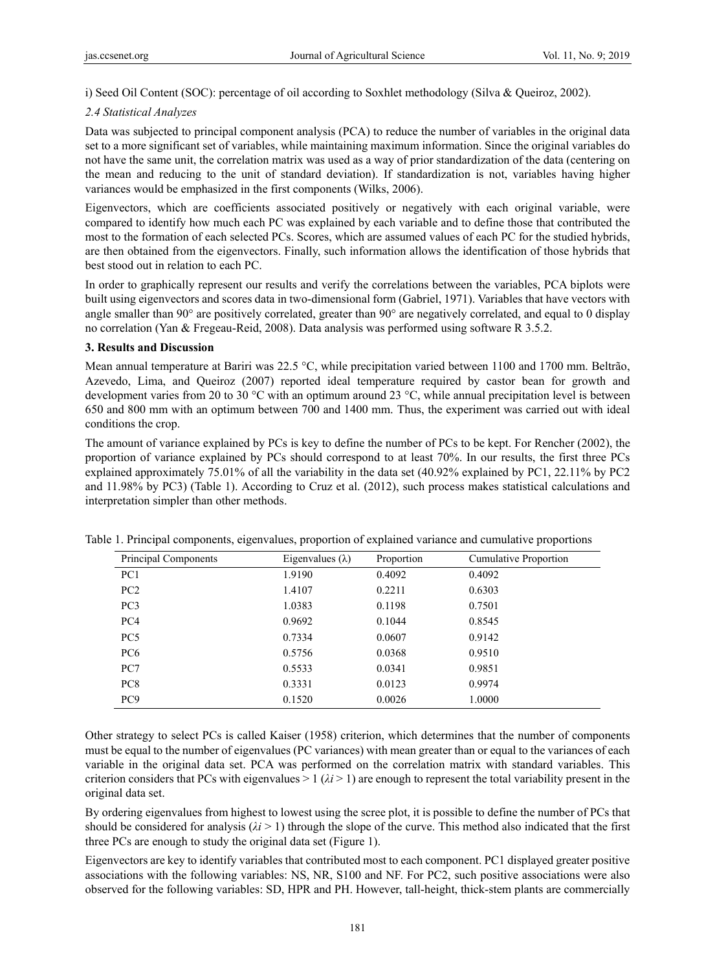i) Seed Oil Content (SOC): percentage of oil according to Soxhlet methodology (Silva & Queiroz, 2002).

#### *2.4 Statistical Analyzes*

Data was subjected to principal component analysis (PCA) to reduce the number of variables in the original data set to a more significant set of variables, while maintaining maximum information. Since the original variables do not have the same unit, the correlation matrix was used as a way of prior standardization of the data (centering on the mean and reducing to the unit of standard deviation). If standardization is not, variables having higher variances would be emphasized in the first components (Wilks, 2006).

Eigenvectors, which are coefficients associated positively or negatively with each original variable, were compared to identify how much each PC was explained by each variable and to define those that contributed the most to the formation of each selected PCs. Scores, which are assumed values of each PC for the studied hybrids, are then obtained from the eigenvectors. Finally, such information allows the identification of those hybrids that best stood out in relation to each PC.

In order to graphically represent our results and verify the correlations between the variables, PCA biplots were built using eigenvectors and scores data in two-dimensional form (Gabriel, 1971). Variables that have vectors with angle smaller than 90° are positively correlated, greater than 90° are negatively correlated, and equal to 0 display no correlation (Yan & Fregeau-Reid, 2008). Data analysis was performed using software R 3.5.2.

#### **3. Results and Discussion**

Mean annual temperature at Bariri was 22.5 °C, while precipitation varied between 1100 and 1700 mm. Beltrão, Azevedo, Lima, and Queiroz (2007) reported ideal temperature required by castor bean for growth and development varies from 20 to 30 °C with an optimum around 23 °C, while annual precipitation level is between 650 and 800 mm with an optimum between 700 and 1400 mm. Thus, the experiment was carried out with ideal conditions the crop.

The amount of variance explained by PCs is key to define the number of PCs to be kept. For Rencher (2002), the proportion of variance explained by PCs should correspond to at least 70%. In our results, the first three PCs explained approximately 75.01% of all the variability in the data set (40.92% explained by PC1, 22.11% by PC2 and 11.98% by PC3) (Table 1). According to Cruz et al. (2012), such process makes statistical calculations and interpretation simpler than other methods.

| Principal Components | Eigenvalues $(\lambda)$ | Proportion | Cumulative Proportion |
|----------------------|-------------------------|------------|-----------------------|
| PC <sub>1</sub>      | 1.9190                  | 0.4092     | 0.4092                |
| PC <sub>2</sub>      | 1.4107                  | 0.2211     | 0.6303                |
| PC <sub>3</sub>      | 1.0383                  | 0.1198     | 0.7501                |
| PC <sub>4</sub>      | 0.9692                  | 0.1044     | 0.8545                |
| PC <sub>5</sub>      | 0.7334                  | 0.0607     | 0.9142                |
| PC <sub>6</sub>      | 0.5756                  | 0.0368     | 0.9510                |
| PC7                  | 0.5533                  | 0.0341     | 0.9851                |
| PC <sub>8</sub>      | 0.3331                  | 0.0123     | 0.9974                |
| PC <sub>9</sub>      | 0.1520                  | 0.0026     | 1.0000                |

Table 1. Principal components, eigenvalues, proportion of explained variance and cumulative proportions

Other strategy to select PCs is called Kaiser (1958) criterion, which determines that the number of components must be equal to the number of eigenvalues (PC variances) with mean greater than or equal to the variances of each variable in the original data set. PCA was performed on the correlation matrix with standard variables. This criterion considers that PCs with eigenvalues  $> 1$  ( $\lambda i > 1$ ) are enough to represent the total variability present in the original data set.

By ordering eigenvalues from highest to lowest using the scree plot, it is possible to define the number of PCs that should be considered for analysis  $(\lambda i > 1)$  through the slope of the curve. This method also indicated that the first three PCs are enough to study the original data set (Figure 1).

Eigenvectors are key to identify variables that contributed most to each component. PC1 displayed greater positive associations with the following variables: NS, NR, S100 and NF. For PC2, such positive associations were also observed for the following variables: SD, HPR and PH. However, tall-height, thick-stem plants are commercially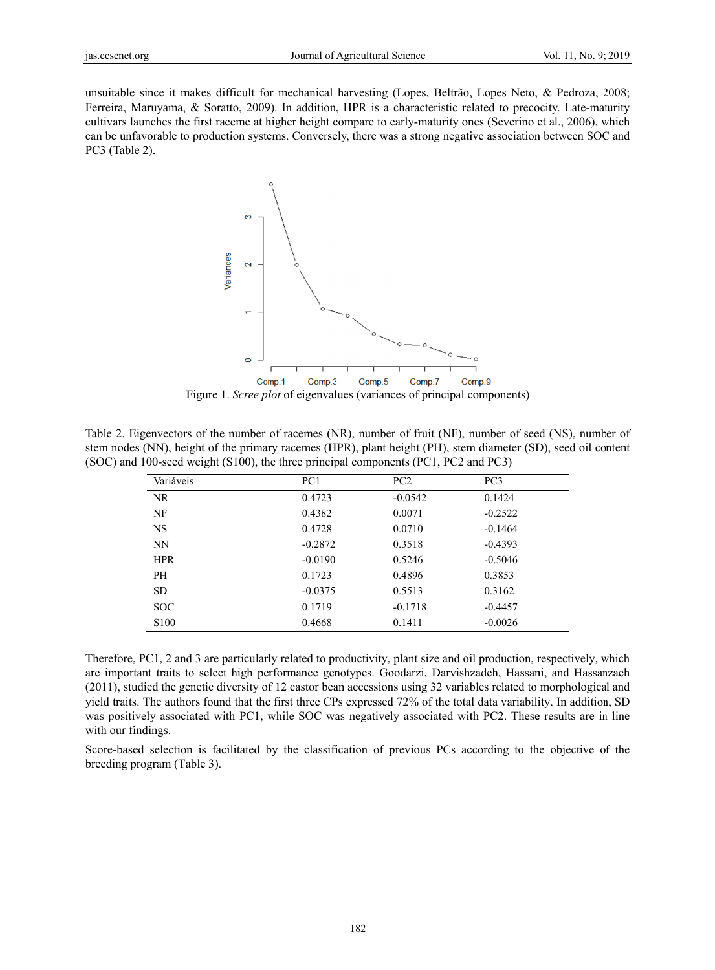unsuitable since it makes difficult for mechanical harvesting (Lopes, Beltrão, Lopes Neto, & Pedroza, 2008; Ferreira, Maruyama, & Soratto, 2009). In addition, HPR is a characteristic related to precocity. Late-maturity cultivars launches the first raceme at higher height compare to early-maturity ones (Severino et al., 2006), which can be unfavorable to production systems. Conversely, there was a strong negative association between SOC and PC3 (Tabl e 2).



Figure 1. *Scree plot* of eigenvalues (variances of principal components)

Table 2. Eigenvectors of the number of racemes (NR), number of fruit (NF), number of seed (NS), number of stem nodes (NN), height of the primary racemes (HPR), plant height (PH), stem diameter (SD), seed oil content (SOC) and 100-seed weight (S100), the three principal components (PC1, PC2 and PC3)

| Variáveis        | PC1       | PC2       | PC <sub>3</sub> |
|------------------|-----------|-----------|-----------------|
| NR.              | 0.4723    | $-0.0542$ | 0.1424          |
| NF               | 0.4382    | 0.0071    | $-0.2522$       |
| <b>NS</b>        | 0.4728    | 0.0710    | $-0.1464$       |
| NN.              | $-0.2872$ | 0.3518    | $-0.4393$       |
| <b>HPR</b>       | $-0.0190$ | 0.5246    | $-0.5046$       |
| PH               | 0.1723    | 0.4896    | 0.3853          |
| SD.              | $-0.0375$ | 0.5513    | 0.3162          |
| SOC.             | 0.1719    | $-0.1718$ | $-0.4457$       |
| S <sub>100</sub> | 0.4668    | 0.1411    | $-0.0026$       |

Therefore, PC1, 2 and 3 are particularly related to productivity, plant size and oil production, respectively, which are important traits to select high performance genotypes. Goodarzi, Darvishzadeh, Hassani, and Hassanzaeh (2011), studied the genetic diversity of 12 castor bean accessions using 32 variables related to morphological and yield traits. The authors found that the first three CPs expressed 72% of the total data variability. In addition, SD was positively associated with PC1, while SOC was negatively associated with PC2. These results are in line with our findings.

Score-based selection is facilitated by the classification of previous PCs according to the objective of the breeding program (Table 3).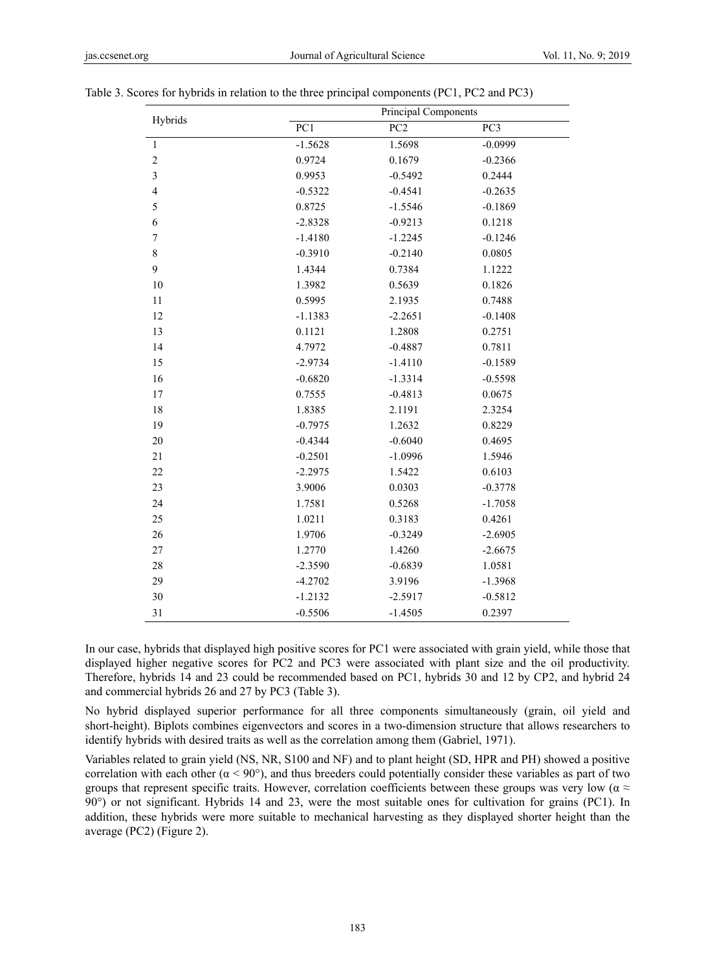| Hybrids                 | Principal Components |                 |           |
|-------------------------|----------------------|-----------------|-----------|
|                         | PC1                  | PC <sub>2</sub> | PC3       |
| $\,1\,$                 | $-1.5628$            | 1.5698          | $-0.0999$ |
| $\overline{c}$          | 0.9724               | 0.1679          | $-0.2366$ |
| $\overline{\mathbf{3}}$ | 0.9953               | $-0.5492$       | 0.2444    |
| $\overline{4}$          | $-0.5322$            | $-0.4541$       | $-0.2635$ |
| 5                       | 0.8725               | $-1.5546$       | $-0.1869$ |
| 6                       | $-2.8328$            | $-0.9213$       | 0.1218    |
| $\sqrt{ }$              | $-1.4180$            | $-1.2245$       | $-0.1246$ |
| 8                       | $-0.3910$            | $-0.2140$       | 0.0805    |
| 9                       | 1.4344               | 0.7384          | 1.1222    |
| 10                      | 1.3982               | 0.5639          | 0.1826    |
| 11                      | 0.5995               | 2.1935          | 0.7488    |
| 12                      | $-1.1383$            | $-2.2651$       | $-0.1408$ |
| 13                      | 0.1121               | 1.2808          | 0.2751    |
| 14                      | 4.7972               | $-0.4887$       | 0.7811    |
| 15                      | $-2.9734$            | $-1.4110$       | $-0.1589$ |
| 16                      | $-0.6820$            | $-1.3314$       | $-0.5598$ |
| 17                      | 0.7555               | $-0.4813$       | 0.0675    |
| 18                      | 1.8385               | 2.1191          | 2.3254    |
| 19                      | $-0.7975$            | 1.2632          | 0.8229    |
| 20                      | $-0.4344$            | $-0.6040$       | 0.4695    |
| 21                      | $-0.2501$            | $-1.0996$       | 1.5946    |
| 22                      | $-2.2975$            | 1.5422          | 0.6103    |
| 23                      | 3.9006               | 0.0303          | $-0.3778$ |
| 24                      | 1.7581               | 0.5268          | $-1.7058$ |
| 25                      | 1.0211               | 0.3183          | 0.4261    |
| 26                      | 1.9706               | $-0.3249$       | $-2.6905$ |
| 27                      | 1.2770               | 1.4260          | $-2.6675$ |
| 28                      | $-2.3590$            | $-0.6839$       | 1.0581    |
| 29                      | $-4.2702$            | 3.9196          | $-1.3968$ |
| 30                      | $-1.2132$            | $-2.5917$       | $-0.5812$ |
| 31                      | $-0.5506$            | $-1.4505$       | 0.2397    |

| Table 3. Scores for hybrids in relation to the three principal components (PC1, PC2 and PC3) |  |
|----------------------------------------------------------------------------------------------|--|
|                                                                                              |  |

In our case, hybrids that displayed high positive scores for PC1 were associated with grain yield, while those that displayed higher negative scores for PC2 and PC3 were associated with plant size and the oil productivity. Therefore, hybrids 14 and 23 could be recommended based on PC1, hybrids 30 and 12 by CP2, and hybrid 24 and commercial hybrids 26 and 27 by PC3 (Table 3).

No hybrid displayed superior performance for all three components simultaneously (grain, oil yield and short-height). Biplots combines eigenvectors and scores in a two-dimension structure that allows researchers to identify hybrids with desired traits as well as the correlation among them (Gabriel, 1971).

Variables related to grain yield (NS, NR, S100 and NF) and to plant height (SD, HPR and PH) showed a positive correlation with each other ( $\alpha$  < 90°), and thus breeders could potentially consider these variables as part of two groups that represent specific traits. However, correlation coefficients between these groups was very low ( $\alpha \approx$ 90°) or not significant. Hybrids 14 and 23, were the most suitable ones for cultivation for grains (PC1). In addition, these hybrids were more suitable to mechanical harvesting as they displayed shorter height than the average (PC2) (Figure 2).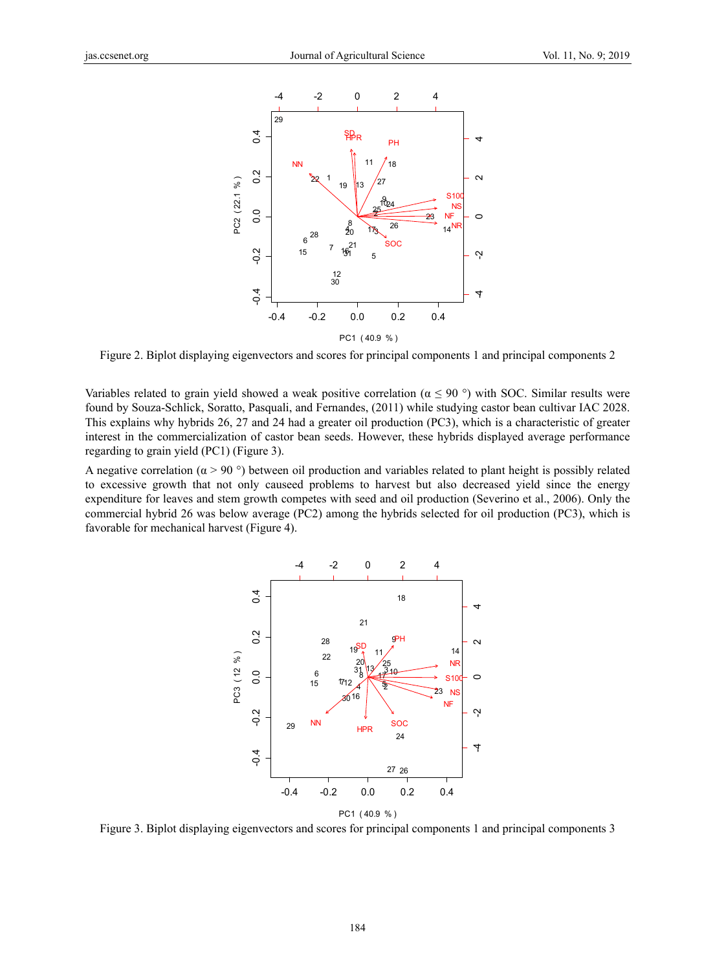

Figure 2. Biplot displaying eigenvectors and scores for principal components 1 and principal components 2

Variables related to grain yield showed a weak positive correlation ( $\alpha \le 90$ °) with SOC. Similar results were found by Souza-Schlick, Soratto, Pasquali, and Fernandes, (2011) while studying castor bean cultivar IAC 2028. This explains why hybrids 26, 27 and 24 had a greater oil production (PC3), which is a characteristic of greater interest in the commercialization of castor bean seeds. However, these hybrids displayed average performance regarding to grain yield (PC1) (Figure 3).

A negative correlation ( $\alpha$  > 90 °) between oil production and variables related to plant height is possibly related to excessive growth that not only causeed problems to harvest but also decreased yield since the energy expenditure for leaves and stem growth competes with seed and oil production (Severino et al., 2006). Only the commercial hybrid 26 was below average (PC2) among the hybrids selected for oil production (PC3), which is favorable for mechanical harvest (Figure 4).



Figure 3. Biplot displaying eigenvectors and scores for principal components 1 and principal components 3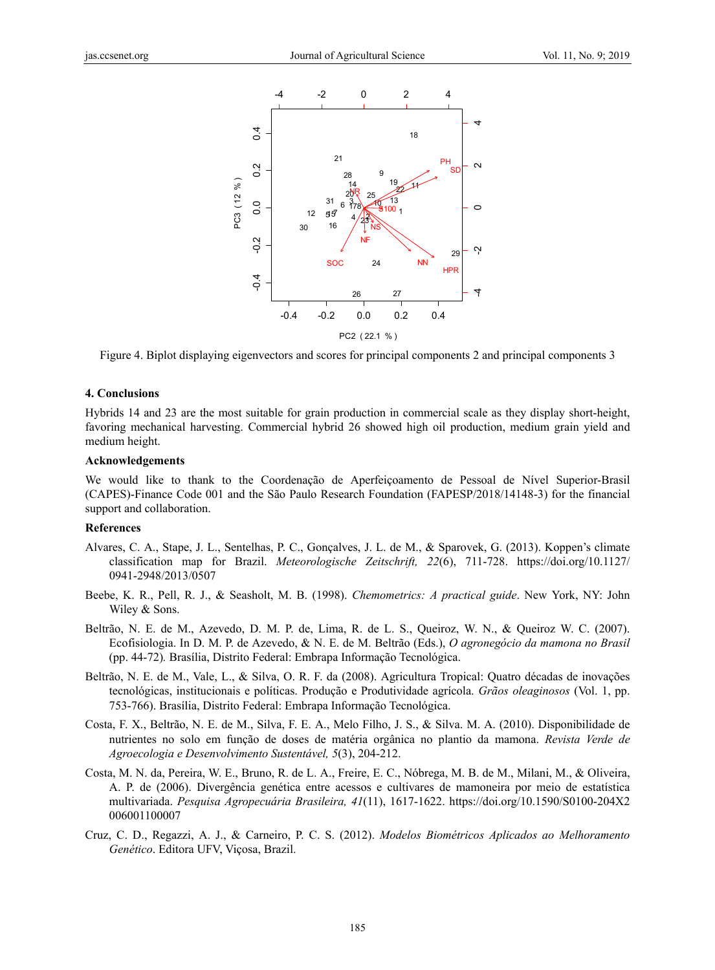

Figure 4. Biplot displaying eigenvectors and scores for principal components 2 and principal components 3

#### **4. Conclusions**

Hybrids 14 and 23 are the most suitable for grain production in commercial scale as they display short-height, favoring mechanical harvesting. Commercial hybrid 26 showed high oil production, medium grain yield and medium height.

#### **Acknowledgements**

We would like to thank to the Coordenação de Aperfeiçoamento de Pessoal de Nível Superior-Brasil (CAPES)-Finance Code 001 and the São Paulo Research Foundation (FAPESP/2018/14148-3) for the financial support and collaboration.

#### **References**

- Alvares, C. A., Stape, J. L., Sentelhas, P. C., Gonçalves, J. L. de M., & Sparovek, G. (2013). Koppen's climate classification map for Brazil. *Meteorologische Zeitschrift, 22*(6), 711-728. https://doi.org/10.1127/ 0941-2948/2013/0507
- Beebe, K. R., Pell, R. J., & Seasholt, M. B. (1998). *Chemometrics: A practical guide*. New York, NY: John Wiley & Sons.
- Beltrão, N. E. de M., Azevedo, D. M. P. de, Lima, R. de L. S., Queiroz, W. N., & Queiroz W. C. (2007). Ecofisiologia. In D. M. P. de Azevedo, & N. E. de M. Beltrão (Eds.), *O agronegócio da mamona no Brasil* (pp. 44-72)*.* Brasília, Distrito Federal: Embrapa Informação Tecnológica.
- Beltrão, N. E. de M., Vale, L., & Silva, O. R. F. da (2008). Agricultura Tropical: Quatro décadas de inovações tecnológicas, institucionais e políticas. Produção e Produtividade agrícola. *Grãos oleaginosos* (Vol. 1, pp. 753-766). Brasília, Distrito Federal: Embrapa Informação Tecnológica.
- Costa, F. X., Beltrão, N. E. de M., Silva, F. E. A., Melo Filho, J. S., & Silva. M. A. (2010). Disponibilidade de nutrientes no solo em função de doses de matéria orgânica no plantio da mamona. *Revista Verde de Agroecologia e Desenvolvimento Sustentável, 5*(3), 204-212.
- Costa, M. N. da, Pereira, W. E., Bruno, R. de L. A., Freire, E. C., Nóbrega, M. B. de M., Milani, M., & Oliveira, A. P. de (2006). Divergência genética entre acessos e cultivares de mamoneira por meio de estatística multivariada. *Pesquisa Agropecuária Brasileira, 41*(11), 1617-1622. https://doi.org/10.1590/S0100-204X2 006001100007
- Cruz, C. D., Regazzi, A. J., & Carneiro, P. C. S. (2012). *Modelos Biométricos Aplicados ao Melhoramento Genético*. Editora UFV, Viçosa, Brazil.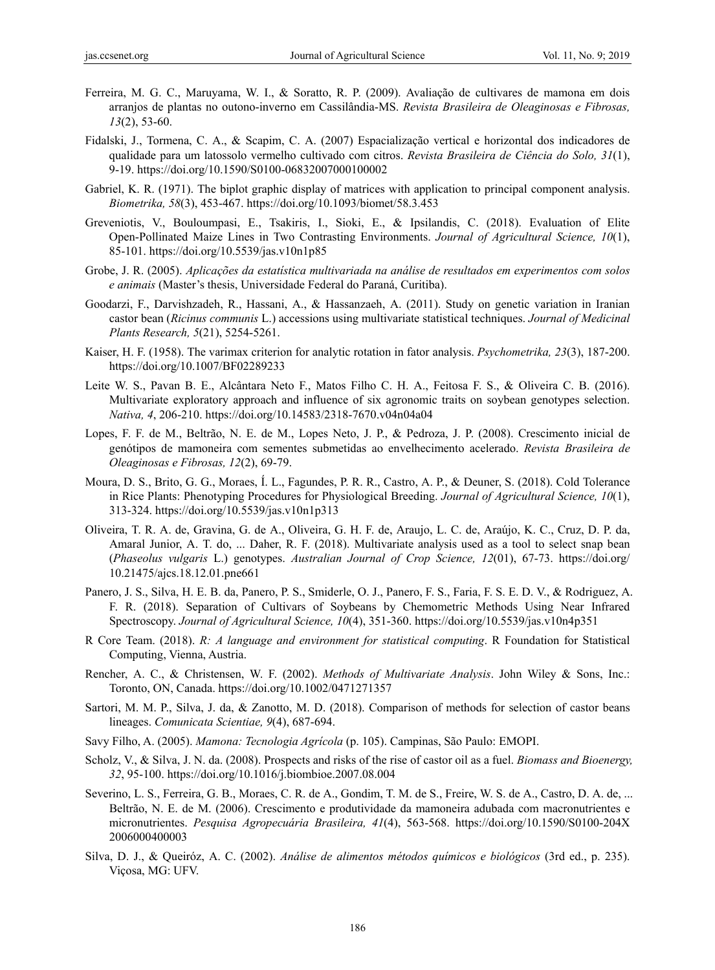- Ferreira, M. G. C., Maruyama, W. I., & Soratto, R. P. (2009). Avaliação de cultivares de mamona em dois arranjos de plantas no outono-inverno em Cassilândia-MS. *Revista Brasileira de Oleaginosas e Fibrosas, 13*(2), 53-60.
- Fidalski, J., Tormena, C. A., & Scapim, C. A. (2007) Espacialização vertical e horizontal dos indicadores de qualidade para um latossolo vermelho cultivado com citros. *Revista Brasileira de Ciência do Solo, 31*(1), 9-19. https://doi.org/10.1590/S0100-06832007000100002
- Gabriel, K. R. (1971). The biplot graphic display of matrices with application to principal component analysis. *Biometrika, 58*(3), 453-467. https://doi.org/10.1093/biomet/58.3.453
- Greveniotis, V., Bouloumpasi, E., Tsakiris, I., Sioki, E., & Ipsilandis, C. (2018). Evaluation of Elite Open-Pollinated Maize Lines in Two Contrasting Environments. *Journal of Agricultural Science, 10*(1), 85-101. https://doi.org/10.5539/jas.v10n1p85
- Grobe, J. R. (2005). *Aplicações da estatística multivariada na análise de resultados em experimentos com solos e animais* (Master's thesis, Universidade Federal do Paraná, Curitiba).
- Goodarzi, F., Darvishzadeh, R., Hassani, A., & Hassanzaeh, A. (2011). Study on genetic variation in Iranian castor bean (*Ricinus communis* L.) accessions using multivariate statistical techniques. *Journal of Medicinal Plants Research, 5*(21), 5254-5261.
- Kaiser, H. F. (1958). The varimax criterion for analytic rotation in fator analysis. *Psychometrika, 23*(3), 187-200. https://doi.org/10.1007/BF02289233
- Leite W. S., Pavan B. E., Alcântara Neto F., Matos Filho C. H. A., Feitosa F. S., & Oliveira C. B. (2016). Multivariate exploratory approach and influence of six agronomic traits on soybean genotypes selection. *Nativa, 4*, 206-210. https://doi.org/10.14583/2318-7670.v04n04a04
- Lopes, F. F. de M., Beltrão, N. E. de M., Lopes Neto, J. P., & Pedroza, J. P. (2008). Crescimento inicial de genótipos de mamoneira com sementes submetidas ao envelhecimento acelerado. *Revista Brasileira de Oleaginosas e Fibrosas, 12*(2), 69-79.
- Moura, D. S., Brito, G. G., Moraes, Í. L., Fagundes, P. R. R., Castro, A. P., & Deuner, S. (2018). Cold Tolerance in Rice Plants: Phenotyping Procedures for Physiological Breeding. *Journal of Agricultural Science, 10*(1), 313-324. https://doi.org/10.5539/jas.v10n1p313
- Oliveira, T. R. A. de, Gravina, G. de A., Oliveira, G. H. F. de, Araujo, L. C. de, Araújo, K. C., Cruz, D. P. da, Amaral Junior, A. T. do, ... Daher, R. F. (2018). Multivariate analysis used as a tool to select snap bean (*Phaseolus vulgaris* L.) genotypes. *Australian Journal of Crop Science, 12*(01), 67-73. https://doi.org/ 10.21475/ajcs.18.12.01.pne661
- Panero, J. S., Silva, H. E. B. da, Panero, P. S., Smiderle, O. J., Panero, F. S., Faria, F. S. E. D. V., & Rodriguez, A. F. R. (2018). Separation of Cultivars of Soybeans by Chemometric Methods Using Near Infrared Spectroscopy. *Journal of Agricultural Science, 10*(4), 351-360. https://doi.org/10.5539/jas.v10n4p351
- R Core Team. (2018). *R: A language and environment for statistical computing*. R Foundation for Statistical Computing, Vienna, Austria.
- Rencher, A. C., & Christensen, W. F. (2002). *Methods of Multivariate Analysis*. John Wiley & Sons, Inc.: Toronto, ON, Canada. https://doi.org/10.1002/0471271357
- Sartori, M. M. P., Silva, J. da, & Zanotto, M. D. (2018). Comparison of methods for selection of castor beans lineages. *Comunicata Scientiae, 9*(4), 687-694.
- Savy Filho, A. (2005). *Mamona: Tecnologia Agrícola* (p. 105). Campinas, São Paulo: EMOPI.
- Scholz, V., & Silva, J. N. da. (2008). Prospects and risks of the rise of castor oil as a fuel. *Biomass and Bioenergy, 32*, 95-100. https://doi.org/10.1016/j.biombioe.2007.08.004
- Severino, L. S., Ferreira, G. B., Moraes, C. R. de A., Gondim, T. M. de S., Freire, W. S. de A., Castro, D. A. de, ... Beltrão, N. E. de M. (2006). Crescimento e produtividade da mamoneira adubada com macronutrientes e micronutrientes. *Pesquisa Agropecuária Brasileira, 41*(4), 563-568. https://doi.org/10.1590/S0100-204X 2006000400003
- Silva, D. J., & Queiróz, A. C. (2002). *Análise de alimentos métodos químicos e biológicos* (3rd ed., p. 235). Viçosa, MG: UFV.